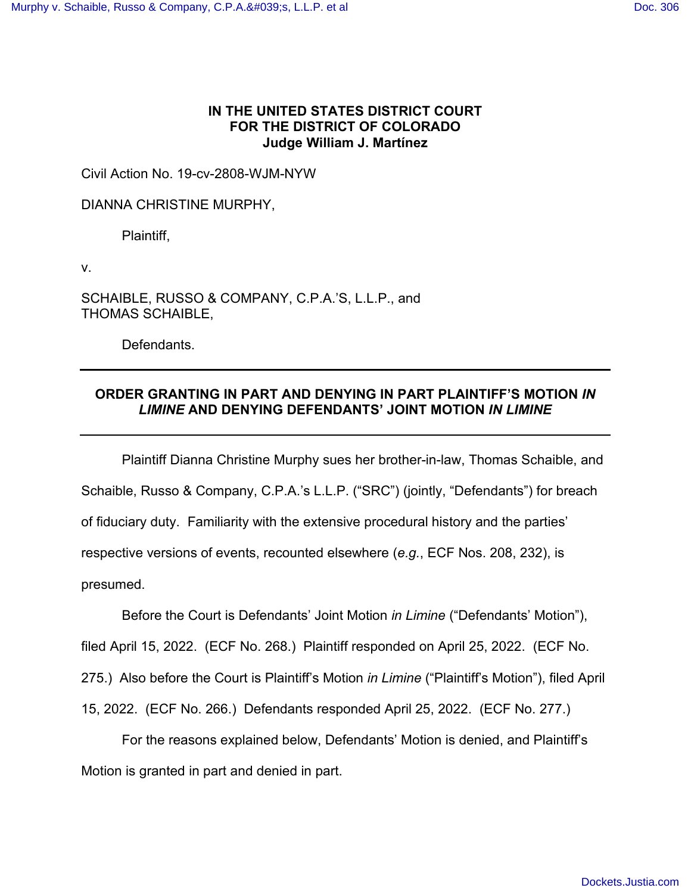# **IN THE UNITED STATES DISTRICT COURT FOR THE DISTRICT OF COLORADO Judge William J. Martínez**

Civil Action No. 19-cv-2808-WJM-NYW

DIANNA CHRISTINE MURPHY,

Plaintiff,

v.

SCHAIBLE, RUSSO & COMPANY, C.P.A.'S, L.L.P., and THOMAS SCHAIBLE,

Defendants.

# **ORDER GRANTING IN PART AND DENYING IN PART PLAINTIFF'S MOTION** *IN LIMINE* **AND DENYING DEFENDANTS' JOINT MOTION** *IN LIMINE*

Plaintiff Dianna Christine Murphy sues her brother-in-law, Thomas Schaible, and Schaible, Russo & Company, C.P.A.'s L.L.P. ("SRC") (jointly, "Defendants") for breach of fiduciary duty. Familiarity with the extensive procedural history and the parties' respective versions of events, recounted elsewhere (*e.g.*, ECF Nos. 208, 232), is presumed.

Before the Court is Defendants' Joint Motion *in Limine* ("Defendants' Motion"),

filed April 15, 2022. (ECF No. 268.) Plaintiff responded on April 25, 2022. (ECF No.

275.) Also before the Court is Plaintiff's Motion *in Limine* ("Plaintiff's Motion"), filed April

15, 2022. (ECF No. 266.) Defendants responded April 25, 2022. (ECF No. 277.)

 For the reasons explained below, Defendants' Motion is denied, and Plaintiff's Motion is granted in part and denied in part.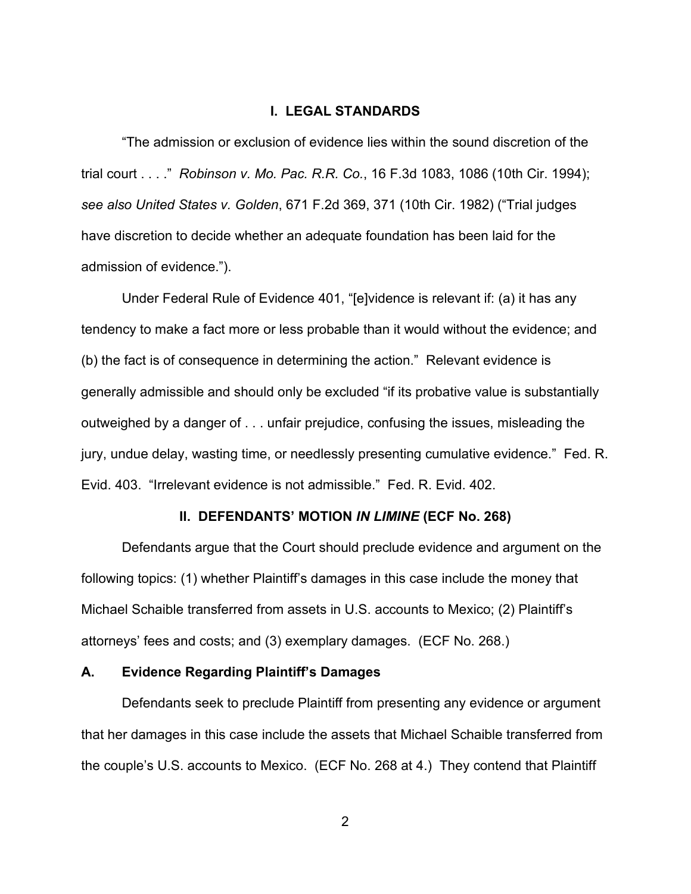## **I. LEGAL STANDARDS**

"The admission or exclusion of evidence lies within the sound discretion of the trial court . . . ." *Robinson v. Mo. Pac. R.R. Co.*, 16 F.3d 1083, 1086 (10th Cir. 1994); *see also United States v. Golden*, 671 F.2d 369, 371 (10th Cir. 1982) ("Trial judges have discretion to decide whether an adequate foundation has been laid for the admission of evidence.").

Under Federal Rule of Evidence 401, "[e]vidence is relevant if: (a) it has any tendency to make a fact more or less probable than it would without the evidence; and (b) the fact is of consequence in determining the action." Relevant evidence is generally admissible and should only be excluded "if its probative value is substantially outweighed by a danger of . . . unfair prejudice, confusing the issues, misleading the jury, undue delay, wasting time, or needlessly presenting cumulative evidence." Fed. R. Evid. 403. "Irrelevant evidence is not admissible." Fed. R. Evid. 402.

#### **II. DEFENDANTS' MOTION** *IN LIMINE* **(ECF No. 268)**

Defendants argue that the Court should preclude evidence and argument on the following topics: (1) whether Plaintiff's damages in this case include the money that Michael Schaible transferred from assets in U.S. accounts to Mexico; (2) Plaintiff's attorneys' fees and costs; and (3) exemplary damages. (ECF No. 268.)

#### **A. Evidence Regarding Plaintiff's Damages**

Defendants seek to preclude Plaintiff from presenting any evidence or argument that her damages in this case include the assets that Michael Schaible transferred from the couple's U.S. accounts to Mexico. (ECF No. 268 at 4.) They contend that Plaintiff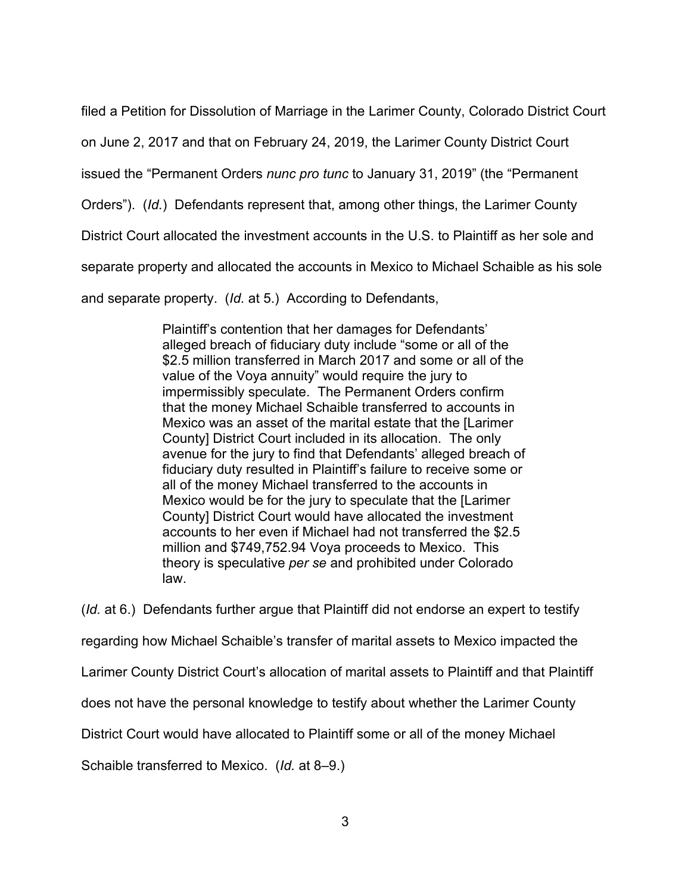filed a Petition for Dissolution of Marriage in the Larimer County, Colorado District Court

on June 2, 2017 and that on February 24, 2019, the Larimer County District Court

issued the "Permanent Orders *nunc pro tunc* to January 31, 2019" (the "Permanent

Orders"). (*Id.*) Defendants represent that, among other things, the Larimer County

District Court allocated the investment accounts in the U.S. to Plaintiff as her sole and

separate property and allocated the accounts in Mexico to Michael Schaible as his sole

and separate property. (*Id.* at 5.) According to Defendants,

Plaintiff's contention that her damages for Defendants' alleged breach of fiduciary duty include "some or all of the \$2.5 million transferred in March 2017 and some or all of the value of the Voya annuity" would require the jury to impermissibly speculate. The Permanent Orders confirm that the money Michael Schaible transferred to accounts in Mexico was an asset of the marital estate that the [Larimer County] District Court included in its allocation. The only avenue for the jury to find that Defendants' alleged breach of fiduciary duty resulted in Plaintiff's failure to receive some or all of the money Michael transferred to the accounts in Mexico would be for the jury to speculate that the [Larimer County] District Court would have allocated the investment accounts to her even if Michael had not transferred the \$2.5 million and \$749,752.94 Voya proceeds to Mexico. This theory is speculative *per se* and prohibited under Colorado law.

(*Id.* at 6.) Defendants further argue that Plaintiff did not endorse an expert to testify regarding how Michael Schaible's transfer of marital assets to Mexico impacted the Larimer County District Court's allocation of marital assets to Plaintiff and that Plaintiff does not have the personal knowledge to testify about whether the Larimer County District Court would have allocated to Plaintiff some or all of the money Michael

Schaible transferred to Mexico. (*Id.* at 8–9.)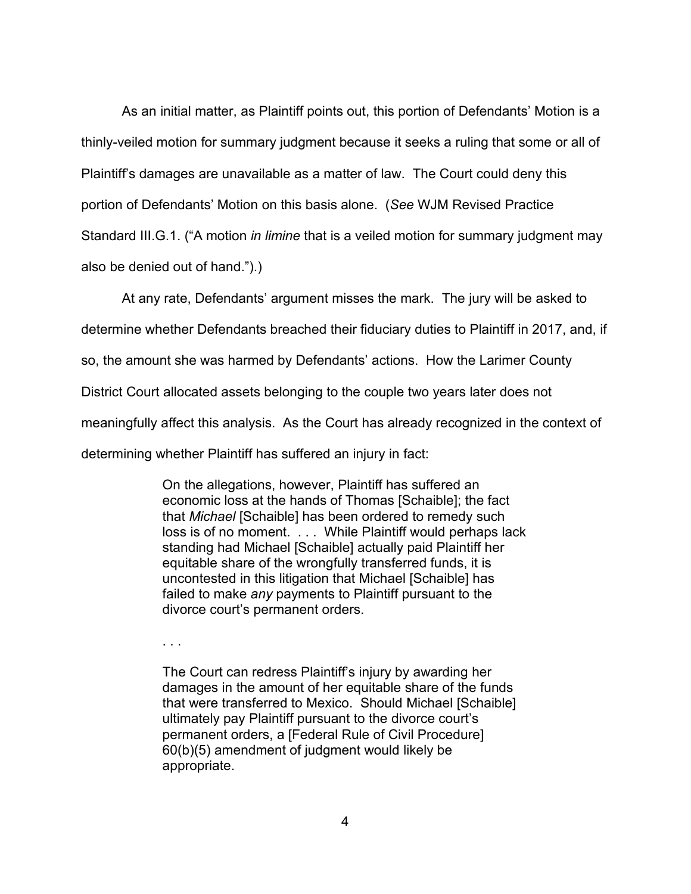As an initial matter, as Plaintiff points out, this portion of Defendants' Motion is a thinly-veiled motion for summary judgment because it seeks a ruling that some or all of Plaintiff's damages are unavailable as a matter of law. The Court could deny this portion of Defendants' Motion on this basis alone. (*See* WJM Revised Practice Standard III.G.1. ("A motion *in limine* that is a veiled motion for summary judgment may also be denied out of hand.").)

At any rate, Defendants' argument misses the mark. The jury will be asked to

determine whether Defendants breached their fiduciary duties to Plaintiff in 2017, and, if

so, the amount she was harmed by Defendants' actions. How the Larimer County

District Court allocated assets belonging to the couple two years later does not

meaningfully affect this analysis. As the Court has already recognized in the context of

determining whether Plaintiff has suffered an injury in fact:

On the allegations, however, Plaintiff has suffered an economic loss at the hands of Thomas [Schaible]; the fact that *Michael* [Schaible] has been ordered to remedy such loss is of no moment. . . . While Plaintiff would perhaps lack standing had Michael [Schaible] actually paid Plaintiff her equitable share of the wrongfully transferred funds, it is uncontested in this litigation that Michael [Schaible] has failed to make *any* payments to Plaintiff pursuant to the divorce court's permanent orders.

. . .

The Court can redress Plaintiff's injury by awarding her damages in the amount of her equitable share of the funds that were transferred to Mexico. Should Michael [Schaible] ultimately pay Plaintiff pursuant to the divorce court's permanent orders, a [Federal Rule of Civil Procedure] 60(b)(5) amendment of judgment would likely be appropriate.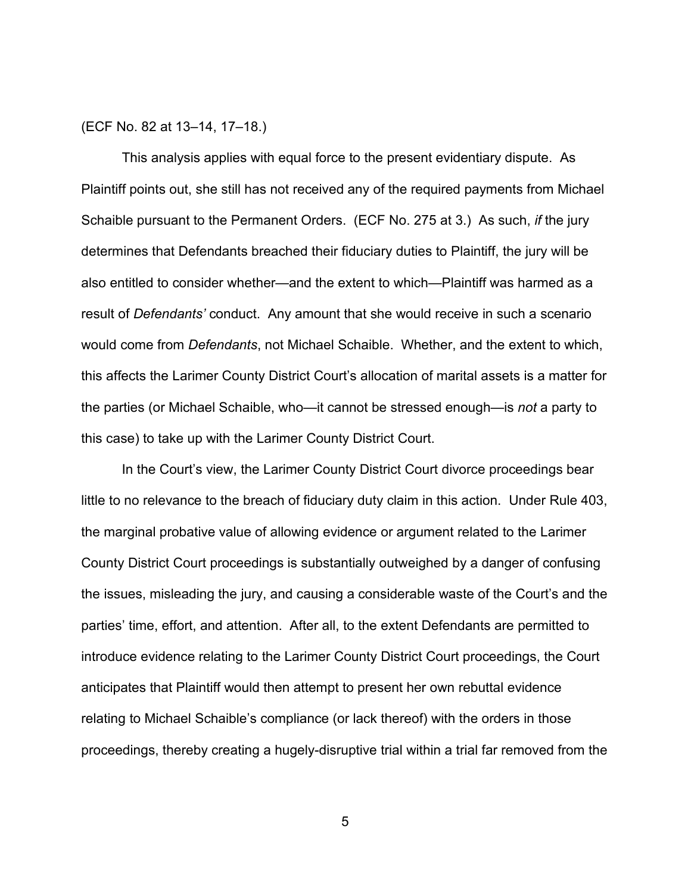#### (ECF No. 82 at 13–14, 17–18.)

This analysis applies with equal force to the present evidentiary dispute. As Plaintiff points out, she still has not received any of the required payments from Michael Schaible pursuant to the Permanent Orders. (ECF No. 275 at 3.) As such, *if* the jury determines that Defendants breached their fiduciary duties to Plaintiff, the jury will be also entitled to consider whether—and the extent to which—Plaintiff was harmed as a result of *Defendants'* conduct. Any amount that she would receive in such a scenario would come from *Defendants*, not Michael Schaible. Whether, and the extent to which, this affects the Larimer County District Court's allocation of marital assets is a matter for the parties (or Michael Schaible, who—it cannot be stressed enough—is *not* a party to this case) to take up with the Larimer County District Court.

In the Court's view, the Larimer County District Court divorce proceedings bear little to no relevance to the breach of fiduciary duty claim in this action. Under Rule 403, the marginal probative value of allowing evidence or argument related to the Larimer County District Court proceedings is substantially outweighed by a danger of confusing the issues, misleading the jury, and causing a considerable waste of the Court's and the parties' time, effort, and attention. After all, to the extent Defendants are permitted to introduce evidence relating to the Larimer County District Court proceedings, the Court anticipates that Plaintiff would then attempt to present her own rebuttal evidence relating to Michael Schaible's compliance (or lack thereof) with the orders in those proceedings, thereby creating a hugely-disruptive trial within a trial far removed from the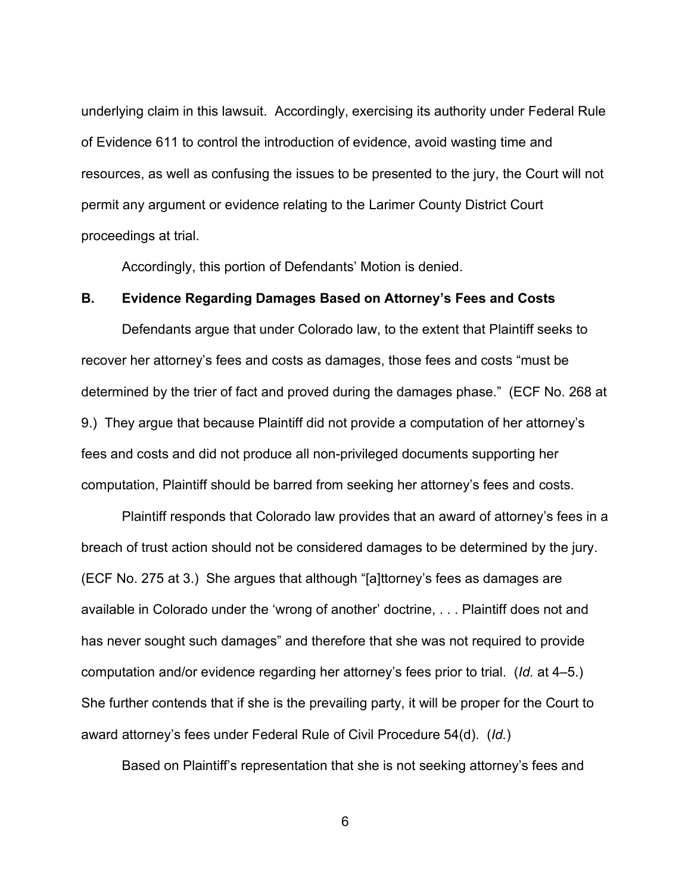underlying claim in this lawsuit. Accordingly, exercising its authority under Federal Rule of Evidence 611 to control the introduction of evidence, avoid wasting time and resources, as well as confusing the issues to be presented to the jury, the Court will not permit any argument or evidence relating to the Larimer County District Court proceedings at trial.

Accordingly, this portion of Defendants' Motion is denied.

# **B. Evidence Regarding Damages Based on Attorney's Fees and Costs**

Defendants argue that under Colorado law, to the extent that Plaintiff seeks to recover her attorney's fees and costs as damages, those fees and costs "must be determined by the trier of fact and proved during the damages phase." (ECF No. 268 at 9.) They argue that because Plaintiff did not provide a computation of her attorney's fees and costs and did not produce all non-privileged documents supporting her computation, Plaintiff should be barred from seeking her attorney's fees and costs.

Plaintiff responds that Colorado law provides that an award of attorney's fees in a breach of trust action should not be considered damages to be determined by the jury. (ECF No. 275 at 3.) She argues that although "[a]ttorney's fees as damages are available in Colorado under the 'wrong of another' doctrine, . . . Plaintiff does not and has never sought such damages" and therefore that she was not required to provide computation and/or evidence regarding her attorney's fees prior to trial. (*Id.* at 4–5.) She further contends that if she is the prevailing party, it will be proper for the Court to award attorney's fees under Federal Rule of Civil Procedure 54(d). (*Id.*)

Based on Plaintiff's representation that she is not seeking attorney's fees and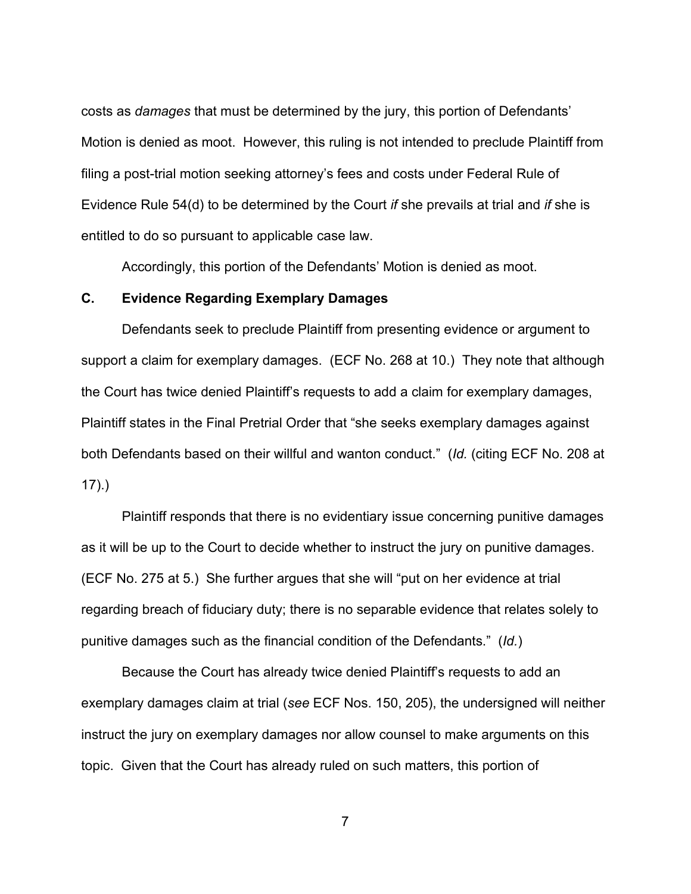costs as *damages* that must be determined by the jury, this portion of Defendants' Motion is denied as moot. However, this ruling is not intended to preclude Plaintiff from filing a post-trial motion seeking attorney's fees and costs under Federal Rule of Evidence Rule 54(d) to be determined by the Court *if* she prevails at trial and *if* she is entitled to do so pursuant to applicable case law.

Accordingly, this portion of the Defendants' Motion is denied as moot.

# **C. Evidence Regarding Exemplary Damages**

Defendants seek to preclude Plaintiff from presenting evidence or argument to support a claim for exemplary damages. (ECF No. 268 at 10.) They note that although the Court has twice denied Plaintiff's requests to add a claim for exemplary damages, Plaintiff states in the Final Pretrial Order that "she seeks exemplary damages against both Defendants based on their willful and wanton conduct." (*Id.* (citing ECF No. 208 at 17).)

Plaintiff responds that there is no evidentiary issue concerning punitive damages as it will be up to the Court to decide whether to instruct the jury on punitive damages. (ECF No. 275 at 5.) She further argues that she will "put on her evidence at trial regarding breach of fiduciary duty; there is no separable evidence that relates solely to punitive damages such as the financial condition of the Defendants." (*Id.*)

Because the Court has already twice denied Plaintiff's requests to add an exemplary damages claim at trial (*see* ECF Nos. 150, 205), the undersigned will neither instruct the jury on exemplary damages nor allow counsel to make arguments on this topic. Given that the Court has already ruled on such matters, this portion of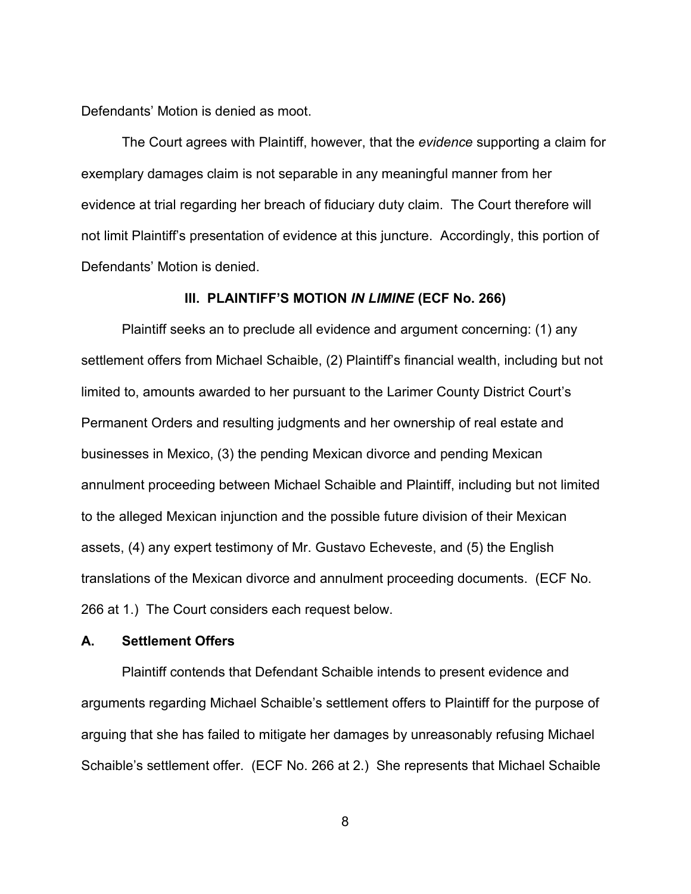Defendants' Motion is denied as moot.

The Court agrees with Plaintiff, however, that the *evidence* supporting a claim for exemplary damages claim is not separable in any meaningful manner from her evidence at trial regarding her breach of fiduciary duty claim. The Court therefore will not limit Plaintiff's presentation of evidence at this juncture. Accordingly, this portion of Defendants' Motion is denied.

#### **III. PLAINTIFF'S MOTION** *IN LIMINE* **(ECF No. 266)**

Plaintiff seeks an to preclude all evidence and argument concerning: (1) any settlement offers from Michael Schaible, (2) Plaintiff's financial wealth, including but not limited to, amounts awarded to her pursuant to the Larimer County District Court's Permanent Orders and resulting judgments and her ownership of real estate and businesses in Mexico, (3) the pending Mexican divorce and pending Mexican annulment proceeding between Michael Schaible and Plaintiff, including but not limited to the alleged Mexican injunction and the possible future division of their Mexican assets, (4) any expert testimony of Mr. Gustavo Echeveste, and (5) the English translations of the Mexican divorce and annulment proceeding documents. (ECF No. 266 at 1.) The Court considers each request below.

# **A. Settlement Offers**

Plaintiff contends that Defendant Schaible intends to present evidence and arguments regarding Michael Schaible's settlement offers to Plaintiff for the purpose of arguing that she has failed to mitigate her damages by unreasonably refusing Michael Schaible's settlement offer. (ECF No. 266 at 2.) She represents that Michael Schaible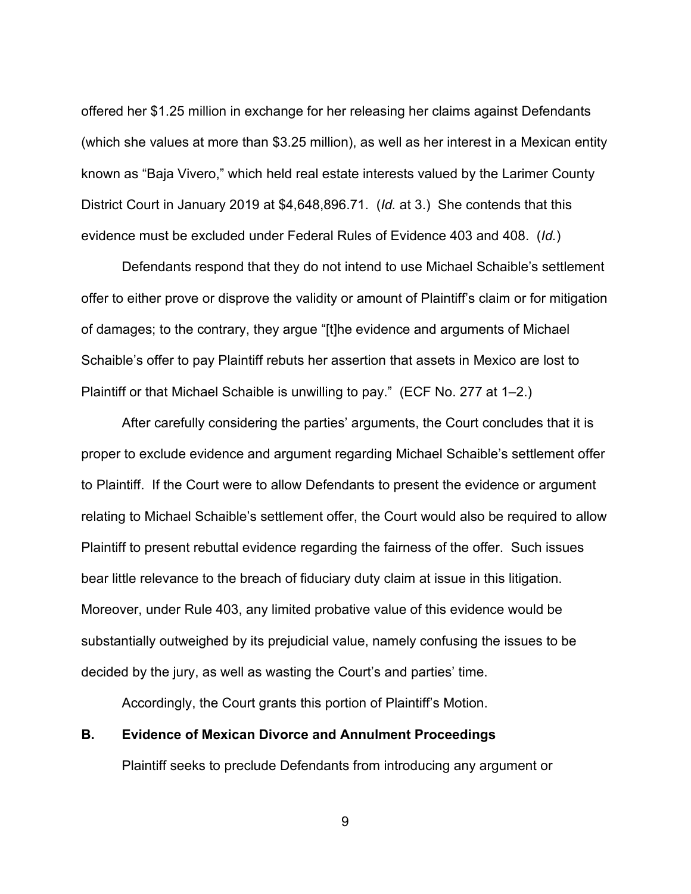offered her \$1.25 million in exchange for her releasing her claims against Defendants (which she values at more than \$3.25 million), as well as her interest in a Mexican entity known as "Baja Vivero," which held real estate interests valued by the Larimer County District Court in January 2019 at \$4,648,896.71. (*Id.* at 3.) She contends that this evidence must be excluded under Federal Rules of Evidence 403 and 408. (*Id.*)

Defendants respond that they do not intend to use Michael Schaible's settlement offer to either prove or disprove the validity or amount of Plaintiff's claim or for mitigation of damages; to the contrary, they argue "[t]he evidence and arguments of Michael Schaible's offer to pay Plaintiff rebuts her assertion that assets in Mexico are lost to Plaintiff or that Michael Schaible is unwilling to pay." (ECF No. 277 at 1–2.)

After carefully considering the parties' arguments, the Court concludes that it is proper to exclude evidence and argument regarding Michael Schaible's settlement offer to Plaintiff. If the Court were to allow Defendants to present the evidence or argument relating to Michael Schaible's settlement offer, the Court would also be required to allow Plaintiff to present rebuttal evidence regarding the fairness of the offer. Such issues bear little relevance to the breach of fiduciary duty claim at issue in this litigation. Moreover, under Rule 403, any limited probative value of this evidence would be substantially outweighed by its prejudicial value, namely confusing the issues to be decided by the jury, as well as wasting the Court's and parties' time.

Accordingly, the Court grants this portion of Plaintiff's Motion.

# **B. Evidence of Mexican Divorce and Annulment Proceedings**

Plaintiff seeks to preclude Defendants from introducing any argument or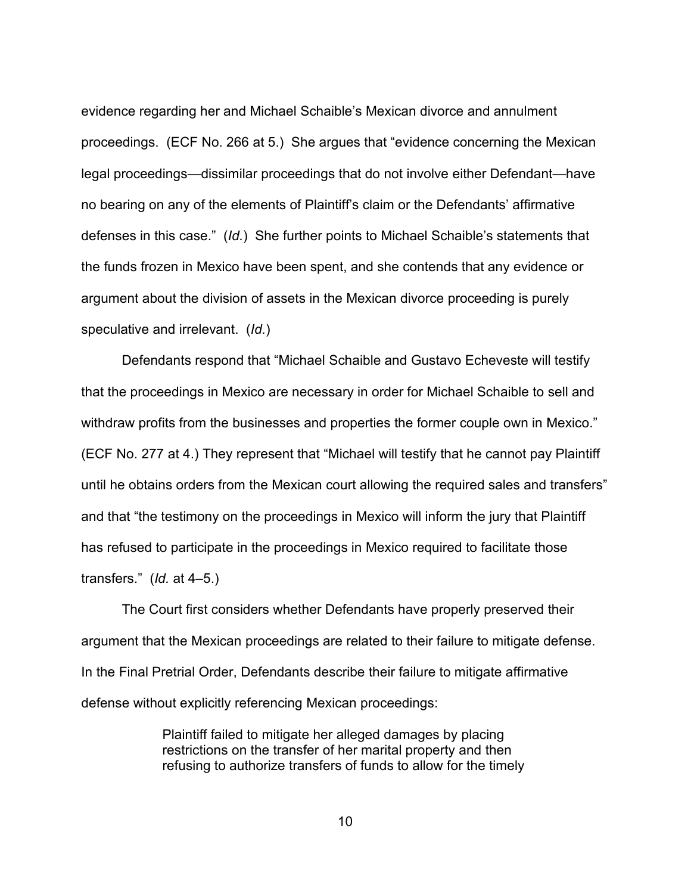evidence regarding her and Michael Schaible's Mexican divorce and annulment proceedings. (ECF No. 266 at 5.) She argues that "evidence concerning the Mexican legal proceedings—dissimilar proceedings that do not involve either Defendant—have no bearing on any of the elements of Plaintiff's claim or the Defendants' affirmative defenses in this case." (*Id.*) She further points to Michael Schaible's statements that the funds frozen in Mexico have been spent, and she contends that any evidence or argument about the division of assets in the Mexican divorce proceeding is purely speculative and irrelevant. (*Id.*)

Defendants respond that "Michael Schaible and Gustavo Echeveste will testify that the proceedings in Mexico are necessary in order for Michael Schaible to sell and withdraw profits from the businesses and properties the former couple own in Mexico." (ECF No. 277 at 4.) They represent that "Michael will testify that he cannot pay Plaintiff until he obtains orders from the Mexican court allowing the required sales and transfers" and that "the testimony on the proceedings in Mexico will inform the jury that Plaintiff has refused to participate in the proceedings in Mexico required to facilitate those transfers." (*Id.* at 4–5.)

The Court first considers whether Defendants have properly preserved their argument that the Mexican proceedings are related to their failure to mitigate defense. In the Final Pretrial Order, Defendants describe their failure to mitigate affirmative defense without explicitly referencing Mexican proceedings:

> Plaintiff failed to mitigate her alleged damages by placing restrictions on the transfer of her marital property and then refusing to authorize transfers of funds to allow for the timely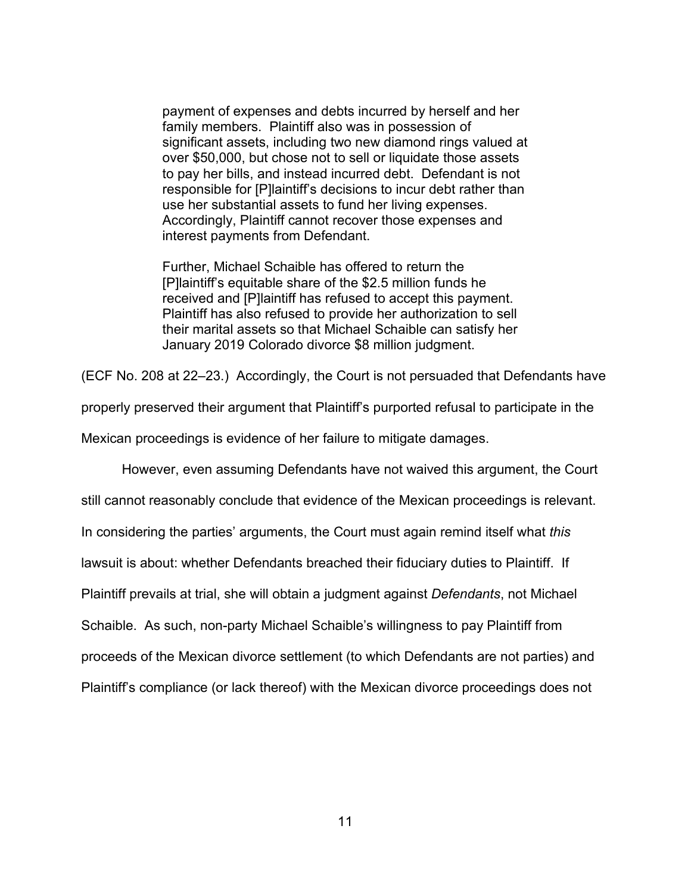payment of expenses and debts incurred by herself and her family members. Plaintiff also was in possession of significant assets, including two new diamond rings valued at over \$50,000, but chose not to sell or liquidate those assets to pay her bills, and instead incurred debt. Defendant is not responsible for [P]laintiff's decisions to incur debt rather than use her substantial assets to fund her living expenses. Accordingly, Plaintiff cannot recover those expenses and interest payments from Defendant.

Further, Michael Schaible has offered to return the [P]laintiff's equitable share of the \$2.5 million funds he received and [P]laintiff has refused to accept this payment. Plaintiff has also refused to provide her authorization to sell their marital assets so that Michael Schaible can satisfy her January 2019 Colorado divorce \$8 million judgment.

(ECF No. 208 at 22–23.) Accordingly, the Court is not persuaded that Defendants have

properly preserved their argument that Plaintiff's purported refusal to participate in the

Mexican proceedings is evidence of her failure to mitigate damages.

However, even assuming Defendants have not waived this argument, the Court

still cannot reasonably conclude that evidence of the Mexican proceedings is relevant.

In considering the parties' arguments, the Court must again remind itself what *this*

lawsuit is about: whether Defendants breached their fiduciary duties to Plaintiff. If

Plaintiff prevails at trial, she will obtain a judgment against *Defendants*, not Michael

Schaible. As such, non-party Michael Schaible's willingness to pay Plaintiff from

proceeds of the Mexican divorce settlement (to which Defendants are not parties) and

Plaintiff's compliance (or lack thereof) with the Mexican divorce proceedings does not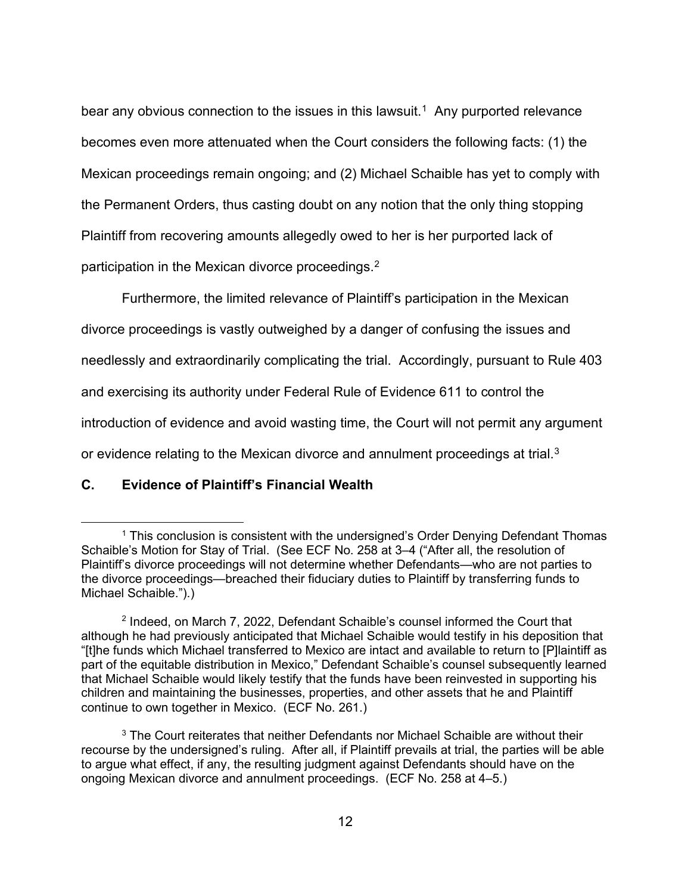bear any obvious connection to the issues in this lawsuit.<sup>[1](#page-11-0)</sup> Any purported relevance becomes even more attenuated when the Court considers the following facts: (1) the Mexican proceedings remain ongoing; and (2) Michael Schaible has yet to comply with the Permanent Orders, thus casting doubt on any notion that the only thing stopping Plaintiff from recovering amounts allegedly owed to her is her purported lack of participation in the Mexican divorce proceedings.<sup>[2](#page-11-1)</sup>

Furthermore, the limited relevance of Plaintiff's participation in the Mexican divorce proceedings is vastly outweighed by a danger of confusing the issues and needlessly and extraordinarily complicating the trial. Accordingly, pursuant to Rule 403 and exercising its authority under Federal Rule of Evidence 611 to control the introduction of evidence and avoid wasting time, the Court will not permit any argument or evidence relating to the Mexican divorce and annulment proceedings at trial. $3$ 

# **C. Evidence of Plaintiff's Financial Wealth**

<span id="page-11-0"></span><sup>&</sup>lt;sup>1</sup> This conclusion is consistent with the undersigned's Order Denying Defendant Thomas Schaible's Motion for Stay of Trial. (See ECF No. 258 at 3–4 ("After all, the resolution of Plaintiff's divorce proceedings will not determine whether Defendants—who are not parties to the divorce proceedings—breached their fiduciary duties to Plaintiff by transferring funds to Michael Schaible.").)

<span id="page-11-1"></span><sup>&</sup>lt;sup>2</sup> Indeed, on March 7, 2022, Defendant Schaible's counsel informed the Court that although he had previously anticipated that Michael Schaible would testify in his deposition that "[t]he funds which Michael transferred to Mexico are intact and available to return to [P]laintiff as part of the equitable distribution in Mexico," Defendant Schaible's counsel subsequently learned that Michael Schaible would likely testify that the funds have been reinvested in supporting his children and maintaining the businesses, properties, and other assets that he and Plaintiff continue to own together in Mexico. (ECF No. 261.)

<span id="page-11-2"></span><sup>&</sup>lt;sup>3</sup> The Court reiterates that neither Defendants nor Michael Schaible are without their recourse by the undersigned's ruling. After all, if Plaintiff prevails at trial, the parties will be able to argue what effect, if any, the resulting judgment against Defendants should have on the ongoing Mexican divorce and annulment proceedings. (ECF No. 258 at 4–5.)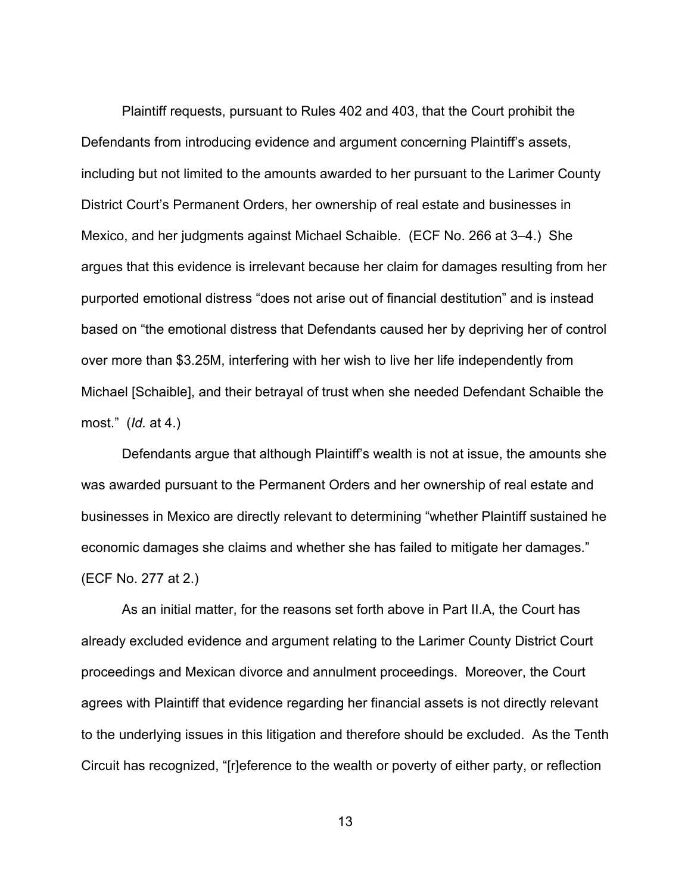Plaintiff requests, pursuant to Rules 402 and 403, that the Court prohibit the Defendants from introducing evidence and argument concerning Plaintiff's assets, including but not limited to the amounts awarded to her pursuant to the Larimer County District Court's Permanent Orders, her ownership of real estate and businesses in Mexico, and her judgments against Michael Schaible. (ECF No. 266 at 3–4.) She argues that this evidence is irrelevant because her claim for damages resulting from her purported emotional distress "does not arise out of financial destitution" and is instead based on "the emotional distress that Defendants caused her by depriving her of control over more than \$3.25M, interfering with her wish to live her life independently from Michael [Schaible], and their betrayal of trust when she needed Defendant Schaible the most." (*Id.* at 4.)

Defendants argue that although Plaintiff's wealth is not at issue, the amounts she was awarded pursuant to the Permanent Orders and her ownership of real estate and businesses in Mexico are directly relevant to determining "whether Plaintiff sustained he economic damages she claims and whether she has failed to mitigate her damages." (ECF No. 277 at 2.)

As an initial matter, for the reasons set forth above in Part II.A, the Court has already excluded evidence and argument relating to the Larimer County District Court proceedings and Mexican divorce and annulment proceedings. Moreover, the Court agrees with Plaintiff that evidence regarding her financial assets is not directly relevant to the underlying issues in this litigation and therefore should be excluded. As the Tenth Circuit has recognized, "[r]eference to the wealth or poverty of either party, or reflection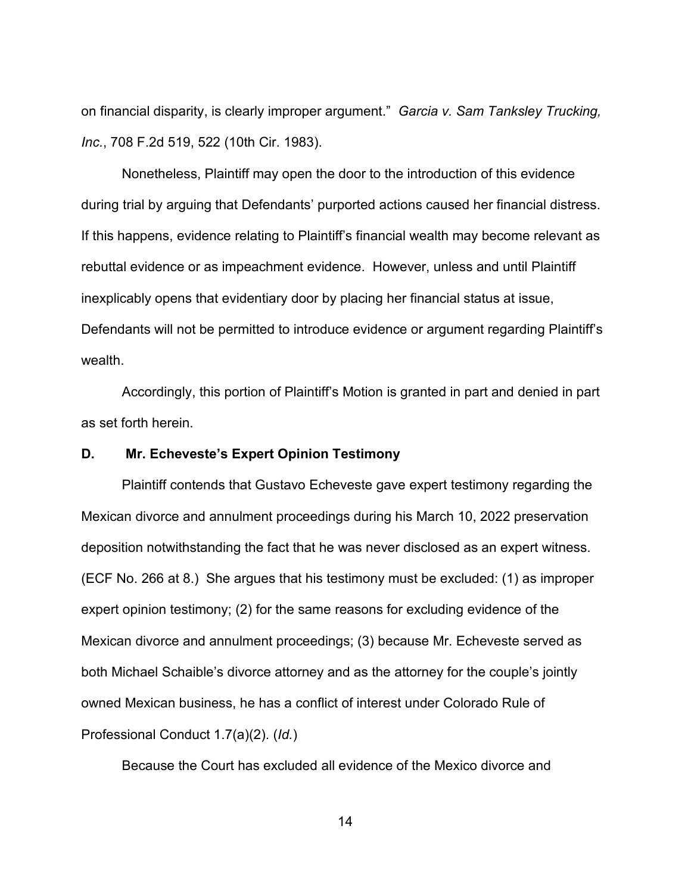on financial disparity, is clearly improper argument." *Garcia v. Sam Tanksley Trucking, Inc.*, 708 F.2d 519, 522 (10th Cir. 1983).

Nonetheless, Plaintiff may open the door to the introduction of this evidence during trial by arguing that Defendants' purported actions caused her financial distress. If this happens, evidence relating to Plaintiff's financial wealth may become relevant as rebuttal evidence or as impeachment evidence. However, unless and until Plaintiff inexplicably opens that evidentiary door by placing her financial status at issue, Defendants will not be permitted to introduce evidence or argument regarding Plaintiff's wealth

Accordingly, this portion of Plaintiff's Motion is granted in part and denied in part as set forth herein.

## **D. Mr. Echeveste's Expert Opinion Testimony**

Plaintiff contends that Gustavo Echeveste gave expert testimony regarding the Mexican divorce and annulment proceedings during his March 10, 2022 preservation deposition notwithstanding the fact that he was never disclosed as an expert witness. (ECF No. 266 at 8.) She argues that his testimony must be excluded: (1) as improper expert opinion testimony; (2) for the same reasons for excluding evidence of the Mexican divorce and annulment proceedings; (3) because Mr. Echeveste served as both Michael Schaible's divorce attorney and as the attorney for the couple's jointly owned Mexican business, he has a conflict of interest under Colorado Rule of Professional Conduct 1.7(a)(2). (*Id.*)

Because the Court has excluded all evidence of the Mexico divorce and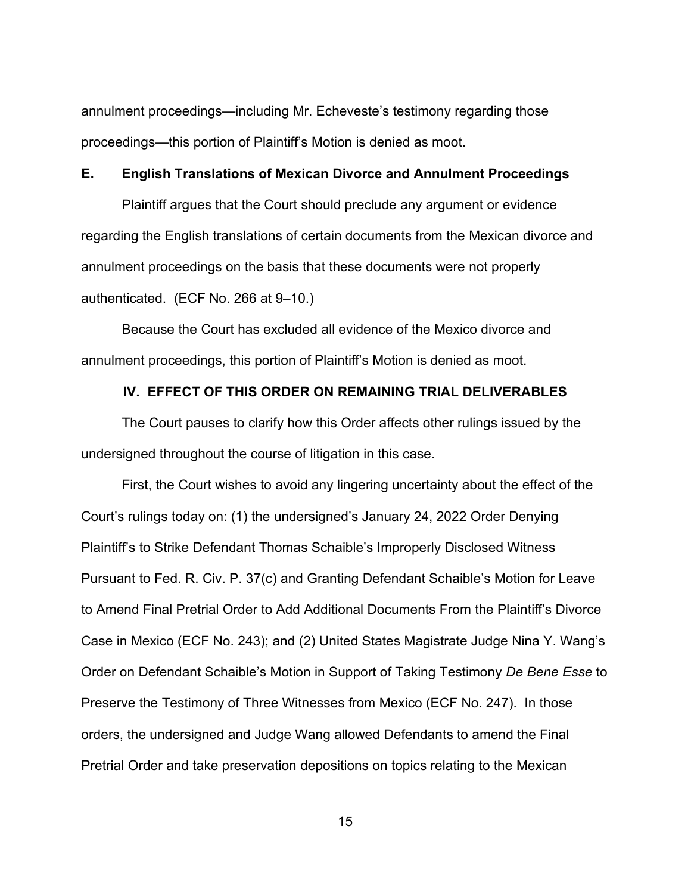annulment proceedings—including Mr. Echeveste's testimony regarding those proceedings—this portion of Plaintiff's Motion is denied as moot.

### **E. English Translations of Mexican Divorce and Annulment Proceedings**

Plaintiff argues that the Court should preclude any argument or evidence regarding the English translations of certain documents from the Mexican divorce and annulment proceedings on the basis that these documents were not properly authenticated. (ECF No. 266 at 9–10.)

Because the Court has excluded all evidence of the Mexico divorce and annulment proceedings, this portion of Plaintiff's Motion is denied as moot.

### **IV. EFFECT OF THIS ORDER ON REMAINING TRIAL DELIVERABLES**

The Court pauses to clarify how this Order affects other rulings issued by the undersigned throughout the course of litigation in this case.

First, the Court wishes to avoid any lingering uncertainty about the effect of the Court's rulings today on: (1) the undersigned's January 24, 2022 Order Denying Plaintiff's to Strike Defendant Thomas Schaible's Improperly Disclosed Witness Pursuant to Fed. R. Civ. P. 37(c) and Granting Defendant Schaible's Motion for Leave to Amend Final Pretrial Order to Add Additional Documents From the Plaintiff's Divorce Case in Mexico (ECF No. 243); and (2) United States Magistrate Judge Nina Y. Wang's Order on Defendant Schaible's Motion in Support of Taking Testimony *De Bene Esse* to Preserve the Testimony of Three Witnesses from Mexico (ECF No. 247). In those orders, the undersigned and Judge Wang allowed Defendants to amend the Final Pretrial Order and take preservation depositions on topics relating to the Mexican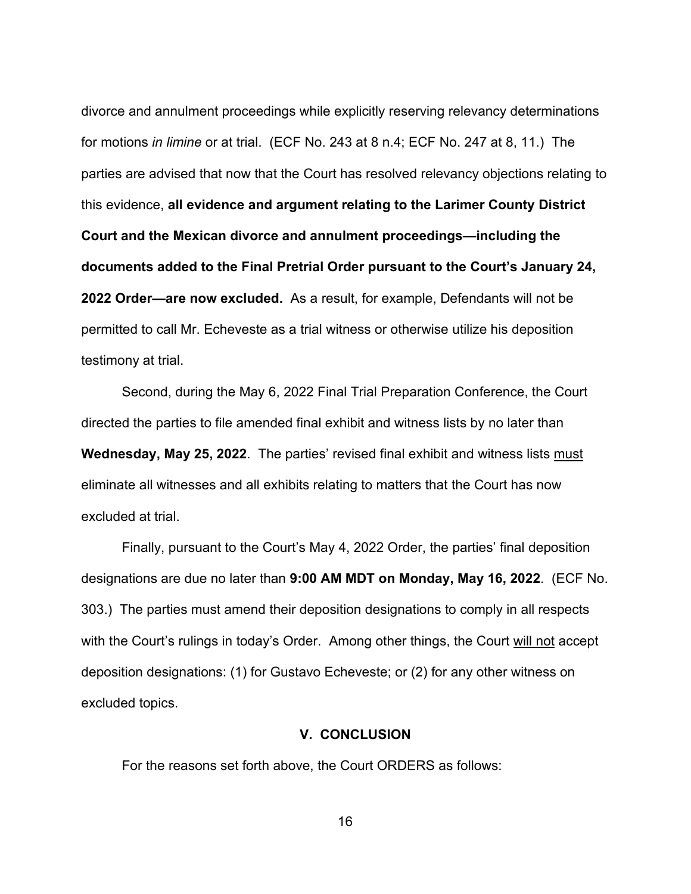divorce and annulment proceedings while explicitly reserving relevancy determinations for motions *in limine* or at trial. (ECF No. 243 at 8 n.4; ECF No. 247 at 8, 11.) The parties are advised that now that the Court has resolved relevancy objections relating to this evidence, **all evidence and argument relating to the Larimer County District Court and the Mexican divorce and annulment proceedings—including the documents added to the Final Pretrial Order pursuant to the Court's January 24, 2022 Order—are now excluded.** As a result, for example, Defendants will not be permitted to call Mr. Echeveste as a trial witness or otherwise utilize his deposition testimony at trial.

Second, during the May 6, 2022 Final Trial Preparation Conference, the Court directed the parties to file amended final exhibit and witness lists by no later than **Wednesday, May 25, 2022**. The parties' revised final exhibit and witness lists must eliminate all witnesses and all exhibits relating to matters that the Court has now excluded at trial.

Finally, pursuant to the Court's May 4, 2022 Order, the parties' final deposition designations are due no later than **9:00 AM MDT on Monday, May 16, 2022**. (ECF No. 303.) The parties must amend their deposition designations to comply in all respects with the Court's rulings in today's Order. Among other things, the Court will not accept deposition designations: (1) for Gustavo Echeveste; or (2) for any other witness on excluded topics.

### **V. CONCLUSION**

For the reasons set forth above, the Court ORDERS as follows: